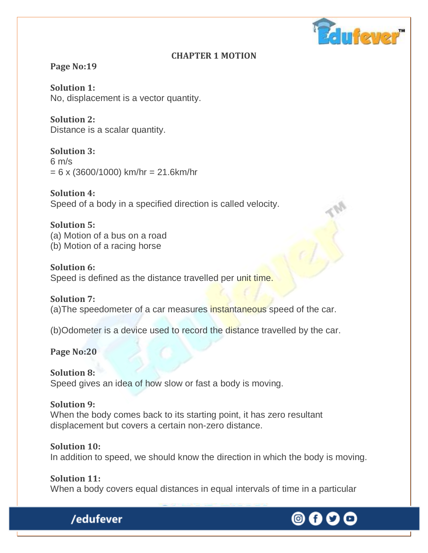

#### **CHAPTER 1 MOTION**

#### **Page No:19**

**Solution 1:** No, displacement is a vector quantity.

**Solution 2:** Distance is a scalar quantity.

**Solution 3:**  $6 \text{ m/s}$  $= 6 \times (3600/1000)$  km/hr  $= 21.6$ km/hr

**Solution 4:** Speed of a body in a specified direction is called velocity.

**Solution 5:** (a) Motion of a bus on a road (b) Motion of a racing horse

**Solution 6:** Speed is defined as the distance travelled per unit time.

**Solution 7:** (a)The speedometer of a car measures instantaneous speed of the car.

(b)Odometer is a device used to record the distance travelled by the car.

**Page No:20**

**Solution 8:** Speed gives an idea of how slow or fast a body is moving.

#### **Solution 9:**

/edufever

When the body comes back to its starting point, it has zero resultant displacement but covers a certain non-zero distance.

**Solution 10:** In addition to speed, we should know the direction in which the body is moving.

**Solution 11:** When a body covers equal distances in equal intervals of time in a particular

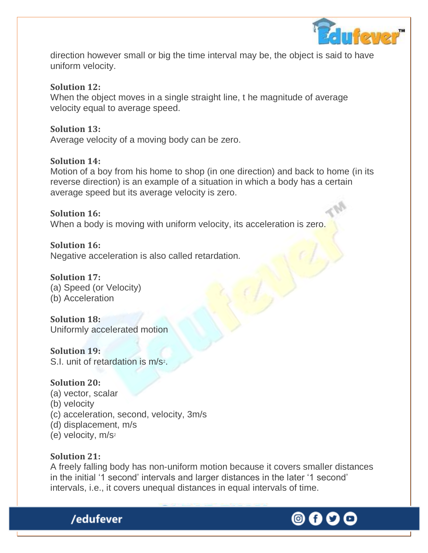

direction however small or big the time interval may be, the object is said to have uniform velocity.

#### **Solution 12:**

When the object moves in a single straight line, t he magnitude of average velocity equal to average speed.

#### **Solution 13:**

Average velocity of a moving body can be zero.

#### **Solution 14:**

Motion of a boy from his home to shop (in one direction) and back to home (in its reverse direction) is an example of a situation in which a body has a certain average speed but its average velocity is zero.

#### **Solution 16:** When a body is moving with uniform velocity, its acceleration is zero.

**Solution 16:** Negative acceleration is also called retardation.

#### **Solution 17:** (a) Speed (or Velocity) (b) Acceleration

**Solution 18:** Uniformly accelerated motion

**Solution 19:** S.I. unit of retardation is m/s<sup>2</sup>.

#### **Solution 20:**

- (a) vector, scalar
- (b) velocity
- (c) acceleration, second, velocity, 3m/s
- (d) displacement, m/s

/edufever

(e) velocity, m/s<sup>2</sup>

#### **Solution 21:**

A freely falling body has non-uniform motion because it covers smaller distances in the initial '1 second' intervals and larger distances in the later '1 second' intervals, i.e., it covers unequal distances in equal intervals of time.

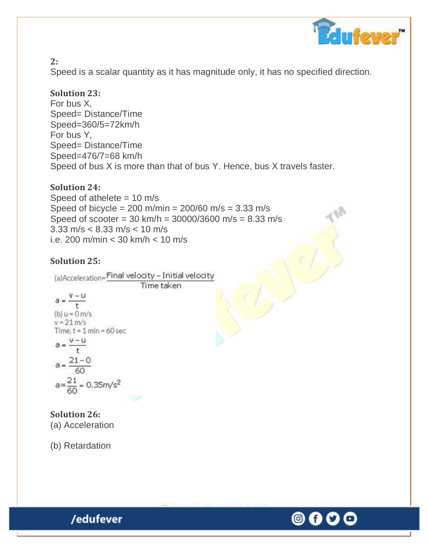

**2:**

Speed is a scalar quantity as it has magnitude only, it has no specified direction.

## **Solution 23:**

For bus X, Speed= Distance/Time Speed=360/5=72km/h For bus Y, Speed= Distance/Time Speed=476/7=68 km/h Speed of bus X is more than that of bus Y. Hence, bus X travels faster.

## **Solution 24:**

Speed of athelete  $= 10$  m/s Speed of bicycle =  $200 \text{ m/min} = 200/60 \text{ m/s} = 3.33 \text{ m/s}$ Speed of scooter = 30 km/h = 30000/3600 m/s = 8.33 m/s 3.33 m/s < 8.33 m/s < 10 m/s i.e. 200 m/min < 30 km/h < 10 m/s

## **Solution 25:**

(a)Acceleration=Final velocity - Initial velocity

Time taken

$$
a = \frac{v - u}{t}
$$
  
(b) u = 0 m/s  
v = 21 m/s

Time, 
$$
t = 1
$$
 min = 60 sec

 $a = \frac{v - u}{t}$  $a = \frac{21 - 0}{60}$ 

$$
a{=}\frac{21}{60}{=}\,0.35m/s^2
$$

**Solution 26:** (a) Acceleration

(b) Retardation

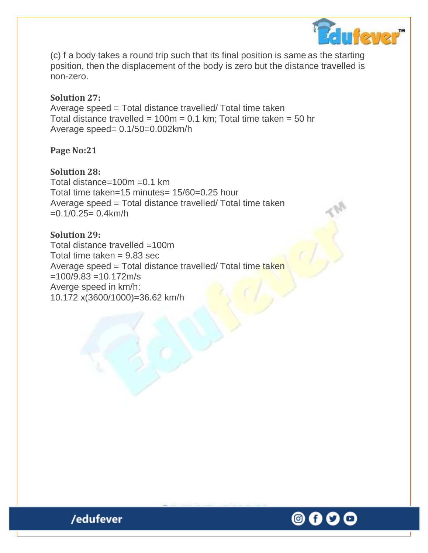

(c) f a body takes a round trip such that its final position is same as the starting position, then the displacement of the body is zero but the distance travelled is non-zero.

#### **Solution 27:**

Average speed = Total distance travelled/ Total time taken Total distance travelled =  $100m = 0.1$  km; Total time taken = 50 hr Average speed= 0.1/50=0.002km/h

**Page No:21** 

#### **Solution 28:**

Total distance=100m =0.1 km Total time taken=15 minutes= 15/60=0.25 hour Average speed = Total distance travelled/ Total time taken  $=0.1/0.25=0.4$ km/h

#### **Solution 29:** Total distance travelled =100m Total time taken  $= 9.83$  sec Average speed = Total distance travelled/ Total time taken  $=100/9.83 = 10.172$ m/s Averge speed in km/h: 10.172 x(3600/1000)=36.62 km/h

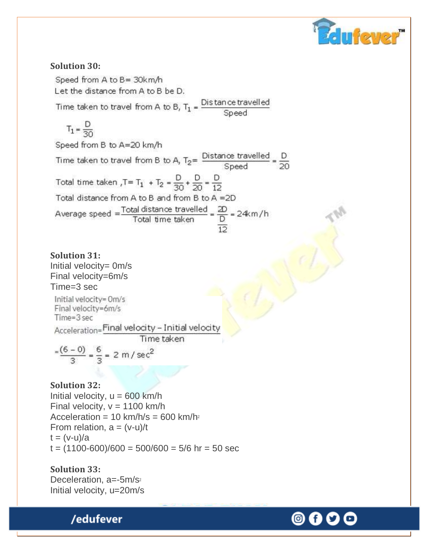

#### **Solution 30:**

Speed from A to B= 30km/h Let the distance from A to B be D.

Time taken to travel from A to B,  $T_1 = \frac{\text{Dis}\tan \text{ce}\,\text{travelled}}{\text{Speed}}$ 

$$
T_1 = \frac{D}{30}
$$

Speed from B to A=20 km/h Time taken to travel from B to A,  $T_2 = \frac{\text{Distance travelled}}{\text{Speed}} = \frac{\text{D}}{20}$ Total time taken  $,T = T_1 + T_2 = \frac{D}{30} + \frac{D}{20} = \frac{D}{12}$ Total distance from A to B and from B to A =2D Average speed =  $\frac{\text{Total distance travelled}}{\text{Total time taken}} = \frac{2D}{D} = 24 \text{km/h}$ 

**Solution 31:** Initial velocity= 0m/s Final velocity=6m/s Time=3 sec

Initial velocity= 0m/s Final velocity=6m/s Time=3 sec Acceleration=Final velocity - Initial velocity

Time taken

$$
\frac{-(6-0)}{3} = \frac{6}{3} = 2 \text{ m/sec}^2
$$

**Solution 32:**

Initial velocity,  $u = 600$  km/h Final velocity,  $v = 1100$  km/h Acceleration =  $10 \text{ km/h/s} = 600 \text{ km/h}^2$ From relation,  $a = (v-u)/t$  $t = (v-u)/a$  $t = (1100-600)/600 = 500/600 = 5/6$  hr = 50 sec

#### **Solution 33:**

Deceleration, a=-5m/s<sup>2</sup> Initial velocity, u=20m/s



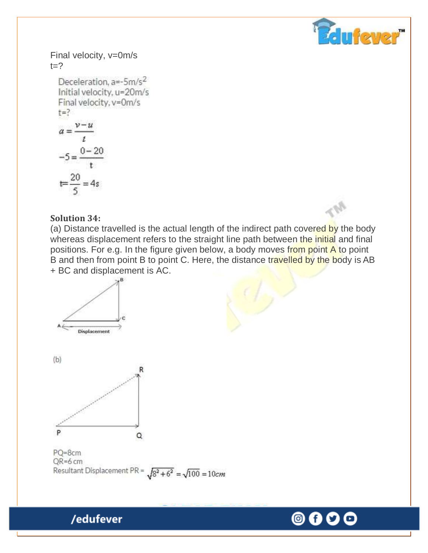

Final velocity, v=0m/s  $t=?$ 

Deceleration,  $a=-5m/s^2$ Initial velocity, u=20m/s Final velocity, v=0m/s  $t = ?$  $a=\frac{v-u}{t}$  $-5 = \frac{0-20}{t}$  $t = \frac{20}{5} = 4s$ 

#### **Solution 34:**

(a) Distance travelled is the actual length of the indirect path covered by the body whereas displacement refers to the straight line path between the initial and final positions. For e.g. In the figure given below, a body moves from point A to point B and then from point B to point C. Here, the distance travelled by the body is AB + BC and displacement is AC.



PQ=8cm  $QR=6$  cm Resultant Displacement PR =  $\sqrt{8^2 + 6^2} = \sqrt{100} = 10$ cm

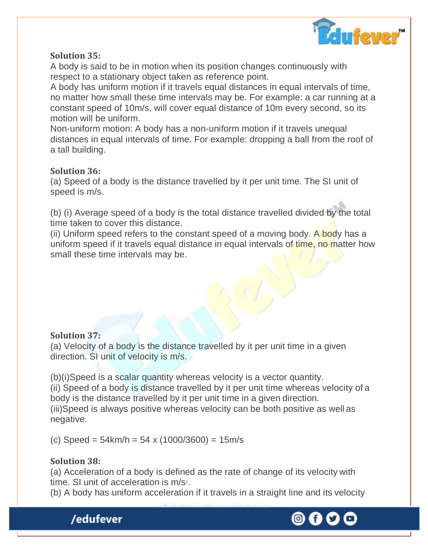

#### **Solution 35:**

A body is said to be in motion when its position changes continuously with respect to a stationary object taken as reference point.

A body has uniform motion if it travels equal distances in equal intervals of time, no matter how small these time intervals may be. For example: a car running at a constant speed of 10m/s, will cover equal distance of 10m every second, so its motion will be uniform.

Non-uniform motion: A body has a non-uniform motion if it travels unequal distances in equal intervals of time. For example: dropping a ball from the roof of a tall building.

#### **Solution 36:**

(a) Speed of a body is the distance travelled by it per unit time. The SI unit of speed is m/s.

(b) (i) Average speed of a body is the total distance travelled divided by the total time taken to cover this distance.

(ii) Uniform speed refers to the constant speed of a moving body. A body has a uniform speed if it travels equal distance in equal intervals of time, no matter how small these time intervals may be.

#### **Solution 37:**

(a) Velocity of a body is the distance travelled by it per unit time in a given direction. SI unit of velocity is m/s.

(b)(i)Speed is a scalar quantity whereas velocity is a vector quantity. (ii) Speed of a body is distance travelled by it per unit time whereas velocity of a body is the distance travelled by it per unit time in a given direction. (iii)Speed is always positive whereas velocity can be both positive as well as negative.

(c) Speed = 54km/h = 54 x (1000/3600) = 15m/s

#### **Solution 38:**

(a) Acceleration of a body is defined as the rate of change of its velocity with time. SI unit of acceleration is m/s<sup>2</sup>.

(b) A body has uniform acceleration if it travels in a straight line and its velocity



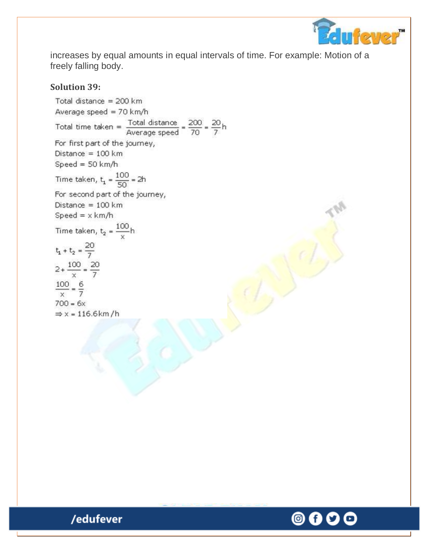

increases by equal amounts in equal intervals of time. For example: Motion of a freely falling body.

#### **Solution 39:**

Total distance =  $200$  km Average speed = 70 km/h Total time taken =  $\frac{\text{Total distance}}{\text{Average speed}} = \frac{200}{70} = \frac{20}{7}h$ For first part of the journey, Distance =  $100 \text{ km}$  $Speed = 50 km/h$ Time taken,  $t_1 = \frac{100}{50} = 2h$ For second part of the journey, Distance =  $100 \text{ km}$ Speed =  $\times$  km/h Time taken,  $t_2 = \frac{100}{x}h$  $t_1 + t_2 = \frac{20}{7}$  $2 + \frac{100}{x} = \frac{20}{7}$  $\frac{100}{x} = \frac{6}{7}$  $700 = 6x$ 



/edufever

 $\Rightarrow$  x = 116.6km/h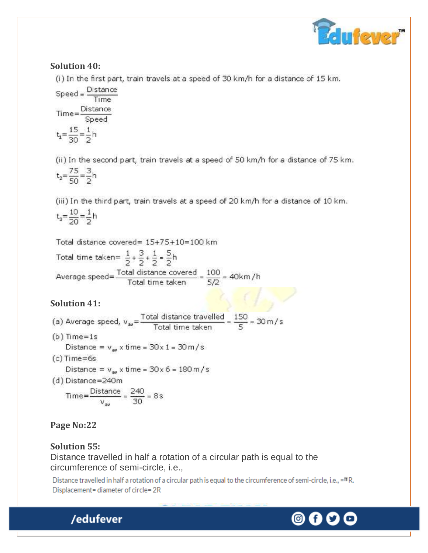

#### **Solution 40:**

(i) In the first part, train travels at a speed of 30 km/h for a distance of 15 km.

 $\footnotesize \textsf{Speed} = \frac{\textsf{Distance}}{\textsf{Time}}$  $Time = \frac{Distance}{Speed}$  $t_1 = \frac{15}{30} = \frac{1}{2}h$ 

(ii) In the second part, train travels at a speed of 50 km/h for a distance of 75 km.

$$
t_2 = \frac{75}{50} = \frac{3}{2}h
$$

(iii) In the third part, train travels at a speed of 20 km/h for a distance of 10 km.  $t_3 = \frac{10}{20} = \frac{1}{2}h$ 

Total distance covered= 15+75+10=100 km

Total time taken=  $\frac{1}{2} + \frac{3}{2} + \frac{1}{2} = \frac{5}{2}$ h Average speed= $\frac{\text{Total distance covered}}{\text{Total time taken}} = \frac{100}{5/2} = 40 \text{km/h}$ 

## **Solution 41:**

(a) Average speed,  $v_{av} = \frac{\text{Total distance travelled}}{\text{Total time taken}} = \frac{150}{5} = 30 \text{ m/s}$ 

- $(b)$  Time=1s Distance =  $v_{av}$  x time =  $30 \times 1 = 30$  m/s
- $(c)$  Time=6s

Distance =  $v_{av}$  x time =  $30 \times 6 = 180$  m/s

(d) Distance=240m

$$
Time = \frac{Distance}{v_{av}} = \frac{240}{30} = 8 \text{ s}
$$

## **Page No:22**

## **Solution 55:**

/edufever

Distance travelled in half a rotation of a circular path is equal to the circumference of semi-circle, i.e.,

Distance travelled in half a rotation of a circular path is equal to the circumference of semi-circle, i.e., =<sup>π</sup>R. Displacement= diameter of circle= 2R

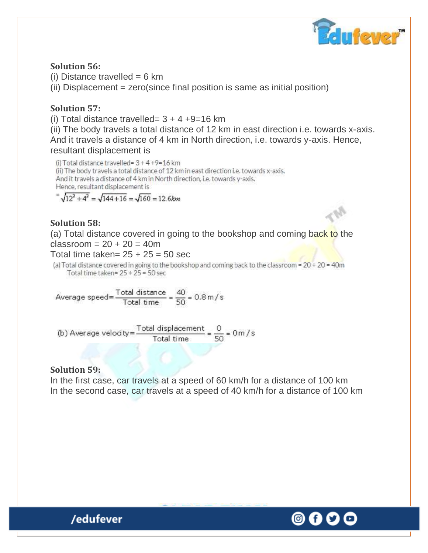

#### **Solution 56:**

(i) Distance travelled  $= 6$  km (ii) Displacement = zero(since final position is same as initial position)

#### **Solution 57:**

(i) Total distance travelled=  $3 + 4 +9=16$  km

(ii) The body travels a total distance of 12 km in east direction i.e. towards x-axis. And it travels a distance of 4 km in North direction, i.e. towards y-axis. Hence, resultant displacement is

(i) Total distance travelled= 3 + 4 +9=16 km (ii) The body travels a total distance of 12 km in east direction i.e. towards x-axis. And it travels a distance of 4 km in North direction, i.e. towards y-axis. Hence, resultant displacement is

 $\sqrt{12^2+4^2}$  =  $\sqrt{144+16}$  =  $\sqrt{160}$  = 12.6km

#### **Solution 58:**

(a) Total distance covered in going to the bookshop and coming back to the  $classroom = 20 + 20 = 40m$ 

Total time taken=  $25 + 25 = 50$  sec

(a) Total distance covered in going to the bookshop and coming back to the classroom =  $20 + 20 = 40$ m Total time taken= $25 + 25 = 50$  sec

Average speed=
$$
\frac{\text{Total distance}}{\text{Total time}} = \frac{40}{50} = 0.8 \,\text{m/s}
$$

(b) Average velocity= $\frac{\text{Total displacement}}{\text{Total time}} = \frac{0}{50} = 0 \text{ m/s}$ 

#### **Solution 59:**

In the first case, car travels at a speed of 60 km/h for a distance of 100 km In the second case, car travels at a speed of 40 km/h for a distance of 100 km

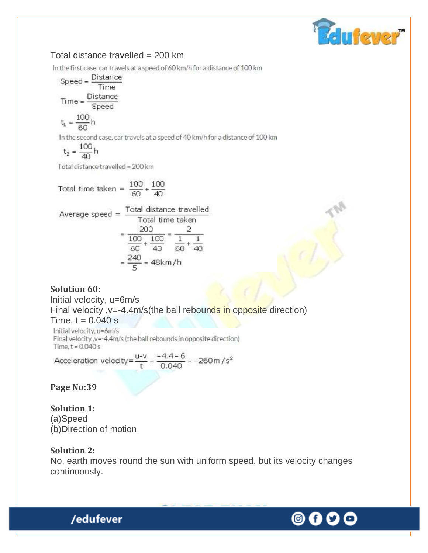

#### Total distance travelled = 200 km

In the first case, car travels at a speed of 60 km/h for a distance of 100 km

 $Speed = \frac{Distance}{Time}$ Time Distance  $Time =$ Speed

$$
t_1 = \frac{100}{60}h
$$

In the second case, car travels at a speed of 40 km/h for a distance of 100 km

$$
t_2 = \frac{100}{40}h
$$

Total distance travelled = 200 km

Total time taken =  $\frac{100}{60} + \frac{100}{40}$ 

Average speed = 
$$
\frac{\text{Total distance travelled}}{\text{Total time taken}}
$$

$$
= \frac{200}{\frac{100}{60} + \frac{100}{40}} = \frac{2}{\frac{1}{60} + \frac{1}{40}}
$$

$$
= \frac{240}{5} = 48 \text{ km/h}
$$

#### **Solution 60:**

Initial velocity, u=6m/s

Final velocity ,v=-4.4m/s(the ball rebounds in opposite direction)

Time,  $t = 0.040$  s

Initial velocity, u=6m/s Final velocity .v=-4.4m/s (the ball rebounds in opposite direction) Time,  $t = 0.040 s$ 

Acceleration velocity= $\frac{u-v}{t} = \frac{-4.4-6}{0.040} = -260$  m /s<sup>2</sup>

**Page No:39** 

**Solution 1:** (a)Speed (b)Direction of motion

/edufever

#### **Solution 2:**

No, earth moves round the sun with uniform speed, but its velocity changes continuously.

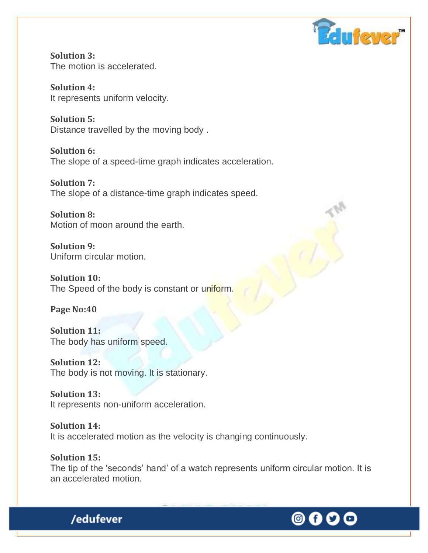

**Solution 3:** The motion is accelerated.

**Solution 4:** It represents uniform velocity.

**Solution 5:** Distance travelled by the moving body .

**Solution 6:** The slope of a speed-time graph indicates acceleration.

**Solution 7:** The slope of a distance-time graph indicates speed.

**Solution 8:** Motion of moon around the earth.

**Solution 9:** Uniform circular motion.

**Solution 10:** The Speed of the body is constant or uniform.

**Page No:40** 

**Solution 11:** The body has uniform speed.

/edufever

**Solution 12:** The body is not moving. It is stationary.

**Solution 13:** It represents non-uniform acceleration.

**Solution 14:** It is accelerated motion as the velocity is changing continuously.

**Solution 15:** The tip of the 'seconds' hand' of a watch represents uniform circular motion. It is an accelerated motion.

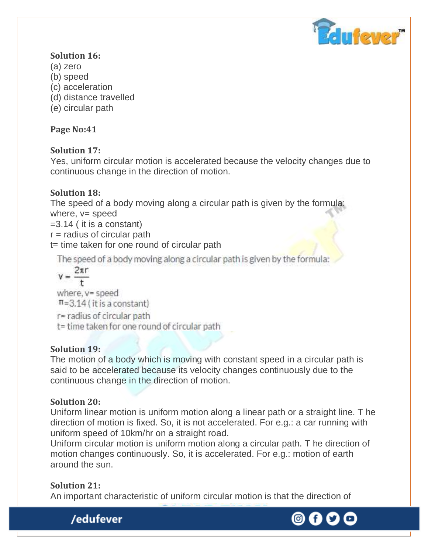

### **Solution 16:**

- (a) zero
- (b) speed
- (c) acceleration
- (d) distance travelled
- (e) circular path

## **Page No:41**

## **Solution 17:**

Yes, uniform circular motion is accelerated because the velocity changes due to continuous change in the direction of motion.

## **Solution 18:**

The speed of a body moving along a circular path is given by the formula: where,  $v=$  speed

=3.14 ( it is a constant)

 $r =$  radius of circular path

t= time taken for one round of circular path

The speed of a body moving along a circular path is given by the formula:

 $v = \frac{2\pi r}{r}$  $\overline{+}$ where, y= speed  $\pi$ =3.14 (it is a constant) r= radius of circular path

```
t= time taken for one round of circular path
```
## **Solution 19:**

The motion of a body which is moving with constant speed in a circular path is said to be accelerated because its velocity changes continuously due to the continuous change in the direction of motion.

## **Solution 20:**

Uniform linear motion is uniform motion along a linear path or a straight line. T he direction of motion is fixed. So, it is not accelerated. For e.g.: a car running with uniform speed of 10km/hr on a straight road.

Uniform circular motion is uniform motion along a circular path. T he direction of motion changes continuously. So, it is accelerated. For e.g.: motion of earth around the sun.

## **Solution 21:**

An important characteristic of uniform circular motion is that the direction of



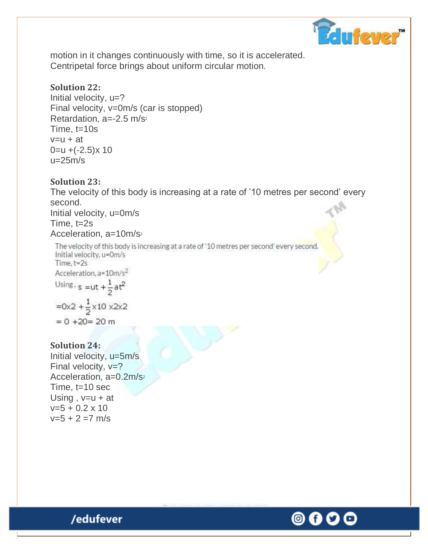

motion in it changes continuously with time, so it is accelerated. Centripetal force brings about uniform circular motion.

#### **Solution 22:**

Initial velocity,  $u=?$ Final velocity, v=0m/s (car is stopped) Retardation,  $a=-2.5$  m/s<sup>2</sup> Time, t=10s  $v=u + at$  $0 = u + (-2.5)x 10$  $u=25m/s$ 

#### **Solution 23:**

The velocity of this body is increasing at a rate of '10 metres per second' every second. Initial velocity, u=0m/s Time, t=2s Acceleration, a=10m/s<sup>2</sup>

The velocity of this body is increasing at a rate of '10 metres per second' every second. Initial velocity, u=0m/s Time,  $t = 2s$ Acceleration, a=10m/s<sup>2</sup> Using,  $s = ut + \frac{1}{2}at^2$ 

$$
=0x^2 + \frac{1}{2}x 10 x^2x^2
$$

$$
= 0 + 20 = 20 \text{ m}
$$

#### **Solution 24:**

Initial velocity, u=5m/s Final velocity,  $v=?$ Acceleration, a=0.2m/s<sup>2</sup> Time, t=10 sec Using,  $v=u + at$  $v=5 + 0.2 \times 10$  $v=5 + 2 = 7$  m/s

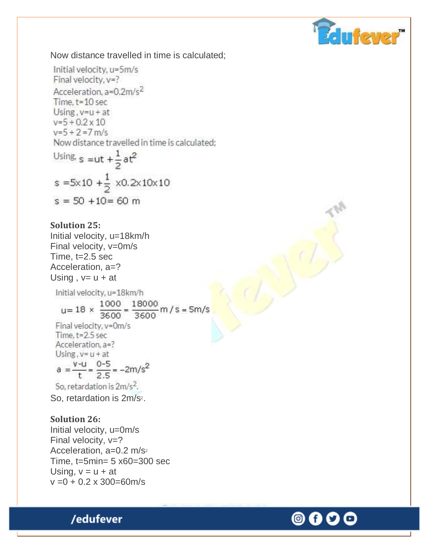

Now distance travelled in time is calculated;

Initial velocity, u=5m/s Final velocity, y=? Acceleration. a=0.2m/s<sup>2</sup> Time, t=10 sec Using,  $v = u + at$  $v=5+0.2 \times 10$  $v=5+2=7$  m/s Now distance travelled in time is calculated;

Using, 
$$
s = ut + \frac{1}{2}at^2
$$
  
\n $s = 5 \times 10 + \frac{1}{2} \times 0.2 \times 10 \times 10$   
\n $s = 50 + 10 = 60$  m

#### **Solution 25:**

Initial velocity, u=18km/h Final velocity, v=0m/s Time, t=2.5 sec Acceleration, a=? Using,  $v = u + at$ Initial velocity, u=18km/h  $u=18 \times \frac{1000}{3600} = \frac{18000}{3600}$  m / s = 5m/s Final velocity, v=0m/s Time, t=2.5 sec Acceleration, a=? Using,  $v = u + at$  $a = \frac{v - u}{t} = \frac{0 - 5}{2.5} = -2m/s^2$ So, retardation is 2m/s<sup>2</sup>. So, retardation is 2m/s<sup>2</sup>.

#### **Solution 26:**

Initial velocity, u=0m/s Final velocity,  $v=?$ Acceleration, a=0.2 m/s<sup>2</sup> Time, t=5min= 5 x60=300 sec Using,  $v = u + at$  $v = 0 + 0.2 \times 300 = 60$  m/s



© f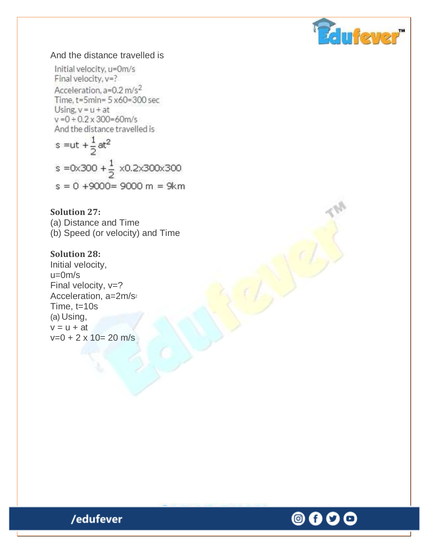

#### And the distance travelled is

Initial velocity, u=0m/s Final velocity, y=? Acceleration. a=0.2 m/s<sup>2</sup> Time, t=5min= 5 x60=300 sec Using,  $v = u + at$  $v = 0 + 0.2 \times 300 = 60$  m/s And the distance travelled is  $-4$ 

s = ut + 
$$
\frac{1}{2}
$$
 at<sup>2</sup>  
s = 0x300 +  $\frac{1}{2}$  x0.2x300x300  
s = 0 +9000= 9000 m = 9km

**Solution 27:** (a) Distance and Time (b) Speed (or velocity) and Time

#### **Solution 28:**

Initial velocity, u=0m/s Final velocity,  $v=?$ Acceleration, a=2m/s<sup>2</sup> Time, t=10s (a) Using,  $v = u + at$  $v=0 + 2 \times 10 = 20$  m/s

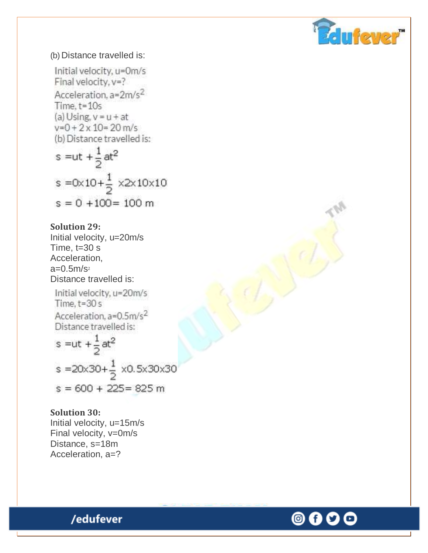

#### (b) Distance travelled is:

Initial velocity, u=0m/s Final velocity, y=? Acceleration, a=2m/s<sup>2</sup> Time, t=10s (a) Using,  $v = u + at$  $v=0+2\times 10=20$  m/s (b) Distance travelled is:

s = ut + 
$$
\frac{1}{2}
$$
 at<sup>2</sup>  
s = 0×10+ $\frac{1}{2}$  ×2×10×10  
s = 0 +100= 100 m

#### **Solution 29:**

Initial velocity, u=20m/s Time,  $t=30$  s Acceleration,  $a=0.5m/s<sub>2</sub>$ Distance travelled is:

Initial velocity, u=20m/s Time,  $t = 30s$ Acceleration, a=0.5m/s<sup>2</sup> Distance travelled is:

s = ut + 
$$
\frac{1}{2}
$$
 at<sup>2</sup>  
s = 20x30+ $\frac{1}{2}$  x0.5x30x30  
s = 600 + 225 = 825 m

#### **Solution 30:**

Initial velocity, u=15m/s Final velocity, v=0m/s Distance, s=18m Acceleration, a=?

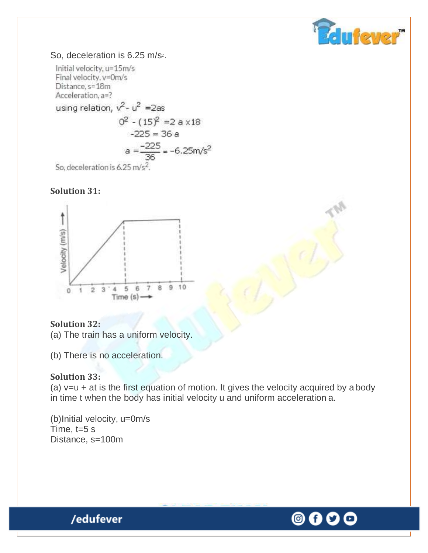

#### So, deceleration is 6.25 m/s<sup>2</sup>.

Initial velocity, u=15m/s Final velocity, y=0m/s Distance, s=18m Acceleration, a=? using relation,  $v^2 - u^2 = 2as$  $0^2$  -  $(15)^2$  = 2 a x18  $-225 = 36a$  $a = \frac{-225}{36} = -6.25 \text{m/s}^2$ So, deceleration is 6.25 m/s<sup>2</sup>.

#### **Solution 31:**



#### **Solution 32:**

(a) The train has a uniform velocity.

(b) There is no acceleration.

#### **Solution 33:**

(a)  $v=u + at$  is the first equation of motion. It gives the velocity acquired by a body in time t when the body has initial velocity u and uniform acceleration a.

(b)Initial velocity, u=0m/s Time, t=5 s Distance, s=100m

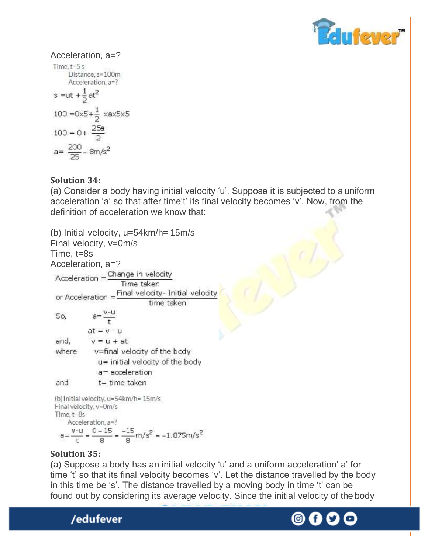

Acceleration, 
$$
a=
$$
?

\nTime,  $t=5$  s

\nDistance,  $s=100$ m

\nAcceleration,  $a=$ ?

\n $s = ut + \frac{1}{2}at^2$ 

\n $100 = 0 \times 5 + \frac{1}{2} \times ax5 \times 5$ 

\n $100 = 0 + \frac{25a}{2}$ 

\n $a = \frac{200}{25} = 8m/s^2$ 

#### **Solution 34:**

(a) Consider a body having initial velocity 'u'. Suppose it is subjected to a uniform acceleration 'a' so that after time't' its final velocity becomes 'v'. Now, from the definition of acceleration we know that:

(b) Initial velocity, u=54km/h= 15m/s Final velocity, v=0m/s Time, t=8s Acceleration, a=?<br>Acceleration = Change in velocity Time taken or Acceleration =  $\frac{\text{Final velocity}}{\text{time}}$ time taken  $a=\frac{V-U}{r}$ So,  $at = v - u$ and,  $v = u + at$ where v=final velocity of the body u= initial velocity of the body a= acceleration  $t = time$  taken and (b) Initial velocity, u=54km/h= 15m/s Final velocity, v=0m/s Time, t=8s

Acceleration, a=?  $a = {v-u \over t} = {0-15 \over 8} = {-15 \over 8} m/s^2 = -1.875 m/s^2$ 

#### **Solution 35:**

(a) Suppose a body has an initial velocity 'u' and a uniform acceleration' a' for time 't' so that its final velocity becomes 'v'. Let the distance travelled by the body in this time be 's'. The distance travelled by a moving body in time 't' can be found out by considering its average velocity. Since the initial velocity of the body

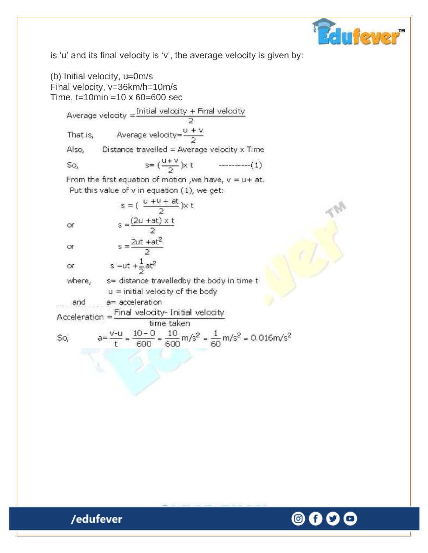

is 'u' and its final velocity is 'v', the average velocity is given by:

(b) Initial velocity, u=0m/s Final velocity, v=36km/h=10m/s Time,  $t=10$ min =10 x 60=600 sec Average velodty =  $\frac{\text{Initial velocity + Final velocity}}{\text{a}}$ Average velocity= $\frac{u+v}{2}$ That is, Also, Distance travelled = Average velocity  $\times$  Time  $s = (\frac{u+v}{2})x$  t  $\cdots$  = = = = = =  $(1)$ So, From the first equation of motion, we have,  $v = u + at$ . Put this value of v in equation (1), we get: s =  $(\frac{u + u + at}{2}) \times t$  $s = \frac{(2u + at) \times t}{2}$ **or**  $s = \frac{2ut + at^2}{2}$ or s = ut  $+\frac{1}{2}$  at<sup>2</sup> or s= distance travelledby the body in time t where,  $u =$  initial velocity of the body a= acceleration and  $Acceleration = \frac{Final velocity - Initial velocity}{Time + 1}$ time taken  $a=\frac{v-u}{t}=\frac{10-0}{600}=\frac{10}{600}m/s^2=\frac{1}{60}m/s^2=0.016m/s^2$ So,

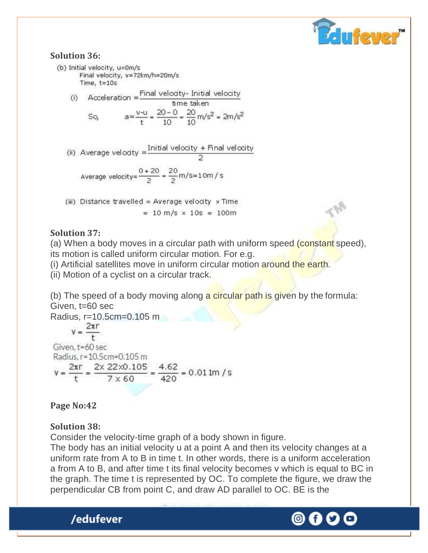

#### **Solution 36:**

(b) Initial velocity, u=0m/s Final velocity, v=72km/h=20m/s Time,  $t = 10s$ 

(i) Acceleration =  $\frac{\text{Final velocity}}{\text{Area}}$  this is then

$$
\text{S}_0, \qquad a = \frac{v - u}{t} = \frac{20 - 0}{10} = \frac{20}{10} \, \text{m/s}^2 = 2 \, \text{m/s}^2
$$

(ii) Average velocity =  $\frac{\text{Initial velocity} + \text{Final velocity}}{2}$ 

Average velocity= $\frac{0+20}{2} = \frac{20}{2}$ m/s=10m/s

(iii) Distance travelled = Average velocity  $\times$  Time  $= 10 \text{ m/s} \times 10 \text{s} = 100 \text{m}$ 

#### **Solution 37:**

(a) When a body moves in a circular path with uniform speed (constant speed), its motion is called uniform circular motion. For e.g.

(i) Artificial satellites move in uniform circular motion around the earth.

(ii) Motion of a cyclist on a circular track.

(b) The speed of a body moving along a circular path is given by the formula: Given, t=60 sec

Radius, r=10.5cm=0.105 m Given. t=60 sec Radius, r=10.5cm=0.105 m  $v = {2\pi r \over t} = {2 \times 22 \times 0.105 \over 7 \times 60} = {4.62 \over 420} = 0.01$  lm /s

#### **Page No:42**

#### **Solution 38:**

/edufever

Consider the velocity-time graph of a body shown in figure.

The body has an initial velocity u at a point A and then its velocity changes at a uniform rate from A to B in time t. In other words, there is a uniform acceleration a from A to B, and after time t its final velocity becomes v which is equal to BC in the graph. The time t is represented by OC. To complete the figure, we draw the perpendicular CB from point C, and draw AD parallel to OC. BE is the

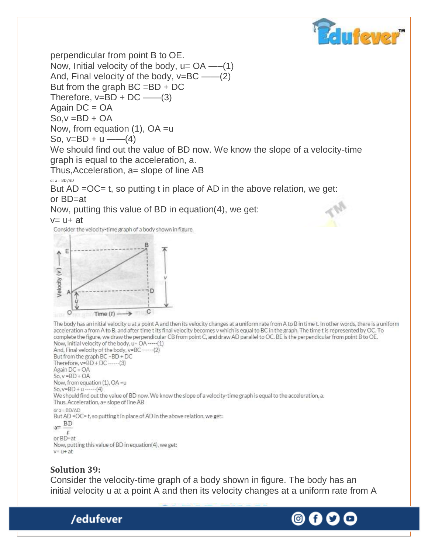

perpendicular from point B to OE. Now, Initial velocity of the body,  $u = OA$  —–(1) And, Final velocity of the body,  $v=BC$  ——(2) But from the graph  $BC = BD + DC$ Therefore,  $v=BD + DC$  ——(3) Again DC = OA  $So, v = BD + OA$ Now, from equation (1), OA =u So,  $v=BD + u$  ——(4)

We should find out the value of BD now. We know the slope of a velocity-time graph is equal to the acceleration, a.

Thus, Acceleration, a= slope of line AB

or  $a = BD/AD$ 

But AD = OC = t, so putting t in place of AD in the above relation, we get: or BD=at

Now, putting this value of BD in equation(4), we get:

 $v = u + at$ 

Consider the velocity-time graph of a body shown in figure.



The body has an initial velocity u at a point A and then its velocity changes at a uniform rate from A to B in time t. In other words, there is a uniform acceleration a from A to B, and after time t its final velocity becomes v which is equal to BC in the graph. The time t is represented by OC. To complete the figure, we draw the perpendicular CB from point C, and draw AD parallel to OC. BE is the perpendicular from point B to OE. Now, Initial velocity of the body, u= OA ----- (1)

And, Final velocity of the body, v=BC ------ (2) But from the graph BC =BD + DC Therefore,  $v = BD + DC$  ------ (3) Again DC = OA  $So, v = BD + OA$ Now, from equation (1), OA =u So,  $v = BD + u$  ------- (4) We should find out the value of BD now. We know the slope of a velocity-time graph is equal to the acceleration, a. Thus, Acceleration, a= slope of line AB or  $a = BD/AD$ But AD = OC= t, so putting t in place of AD in the above relation, we get:  $a = \frac{BD}{A}$ 

 $\tilde{t}$ or BD=at Now, putting this value of BD in equation(4), we get:  $v = u + at$ 

## **Solution 39:**

/edufever

Consider the velocity-time graph of a body shown in figure. The body has an initial velocity u at a point A and then its velocity changes at a uniform rate from A

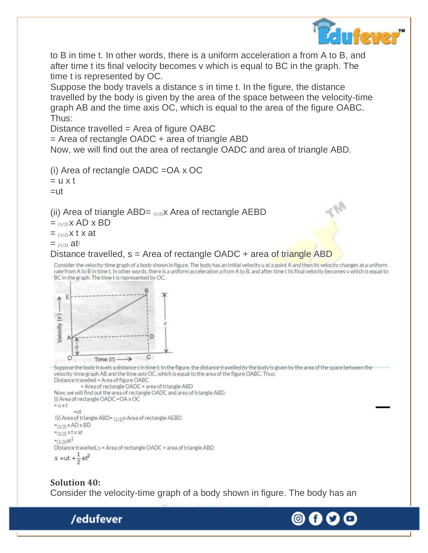

to B in time t. In other words, there is a uniform acceleration a from A to B, and after time t its final velocity becomes v which is equal to BC in the graph. The time t is represented by OC.

Suppose the body travels a distance s in time t. In the figure, the distance travelled by the body is given by the area of the space between the velocity-time graph AB and the time axis OC, which is equal to the area of the figure OABC. Thus:

Distance travelled = Area of figure OABC

 $=$  Area of rectangle OADC  $+$  area of triangle ABD

Now, we will find out the area of rectangle OADC and area of triangle ABD.

(i) Area of rectangle OADC =OA x OC  $= u \times t$ 

 $=$ ut

(ii) Area of triangle ABD=  $(1/2)X$  Area of rectangle AEBD

 $=$  (1/2)  $X$  AD  $X$  BD

 $=$  (1/2) X t x at

 $=$  (1/2)  $at^2$ 

#### Distance travelled,  $s =$  Area of rectangle OADC  $+$  area of triangle ABD

Consider the velocity-time graph of a body shown in figure. The body has an initial velocity u at a point A and then its velocity changes at a uniform rate from A to B in time t. In other words, there is a uniform acceleration a from A to B, and after time t its final velocity becomes v which is equal to BC in the graph. The time t is represented by OC.



/edufever

Suppose the body travels a distance s in time t. In the figure, the distance travelled by the body is given by the area of the space between the velocity-time graph AB and the time axis OC, which is equal to the area of the figure OABC. Thus: Distance travelled = Area of figure OABC

```
= Area of rectangle OADC + area of triangle ABD
Now, we will find out the area of rectangle OADC and area of triangle ABD.
(i) Area of rectangle OADC = OA x OC
= u x t
         =ut
(ii) Area of triangle ABD= (1/2)X Area of rectangle AEBD
=(1/2) x AD x BD
=(1/2) x t x at
=(1/2) at<sup>2</sup>
Distance travelled, s = Area of rectangle OADC + area of triangle ABD
s = ut + \frac{1}{2} at<sup>2</sup>
```
**Solution 40:** Consider the velocity-time graph of a body shown in figure. The body has an

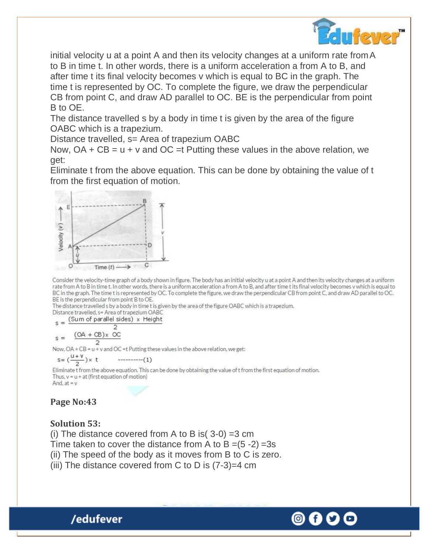

initial velocity u at a point A and then its velocity changes at a uniform rate fromA to B in time t. In other words, there is a uniform acceleration a from A to B, and after time t its final velocity becomes v which is equal to BC in the graph. The time t is represented by OC. To complete the figure, we draw the perpendicular CB from point C, and draw AD parallel to OC. BE is the perpendicular from point B to OE.

The distance travelled s by a body in time t is given by the area of the figure OABC which is a trapezium.

Distance travelled, s= Area of trapezium OABC

Now,  $OA + CB = u + v$  and  $OC = t$  Putting these values in the above relation, we get:

Eliminate t from the above equation. This can be done by obtaining the value of t from the first equation of motion.



Consider the velocity-time graph of a body shown in figure. The body has an initial velocity u at a point A and then its velocity changes at a uniform rate from A to B in time t. In other words, there is a uniform acceleration a from A to B, and after time t its final velocity becomes v which is equal to BC in the graph. The time t is represented by OC. To complete the figure, we draw the perpendicular CB from point C, and draw AD parallel to OC. BE is the perpendicular from point B to OE.

The distance travelled s by a body in time t is given by the area of the figure OABC which is a trapezium,

Distance travelled, s= Area of trapezium OABC ght

$$
s = \frac{\text{Sum of parallel success}}{2} \times \text{mid}
$$

 $(OA + CB)x$  OC  $s =$ 

Now,  $OA + CB = u + v$  and  $OC = t$  Putting these values in the above relation, we get:

Eliminate t from the above equation. This can be done by obtaining the value of t from the first equation of motion. Thus,  $v = u + at$  (first equation of motion) And, at  $= v$ 

## **Page No:43**

#### **Solution 53:**

/edufever

(i) The distance covered from A to B is  $(3-0) = 3$  cm Time taken to cover the distance from A to B  $=(5-2)$  =3s (ii) The speed of the body as it moves from B to C is zero. (iii) The distance covered from C to D is  $(7-3)=4$  cm

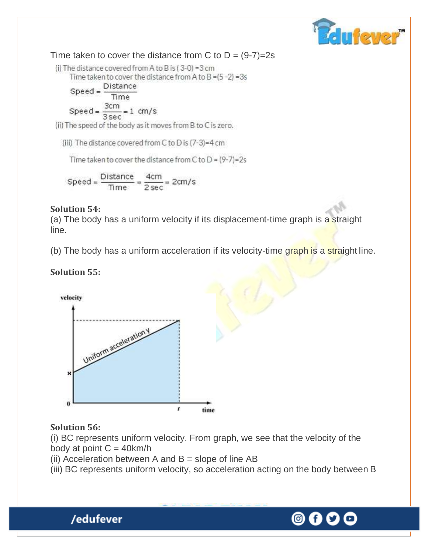

Time taken to cover the distance from C to  $D = (9-7)=2s$ 

(i) The distance covered from A to B is (3-0) = 3 cm Time taken to cover the distance from A to B =  $(5 - 2)$  = 3s

$$
Speed = \frac{Distance}{Time}
$$
  
Speed = 
$$
\frac{3cm}{2} = 1 cm
$$

$$
ed = \frac{3cm}{3\,\text{sec}} = 1\,\text{ cm/s}
$$

(ii) The speed of the body as it moves from B to C is zero.

(iii) The distance covered from C to D is (7-3)=4 cm

Time taken to cover the distance from C to  $D = (9-7)=2s$ 

$$
Speed = \frac{Distance}{Time} = \frac{4cm}{2 sec} = 2cm/s
$$

#### **Solution 54:**

(a) The body has a uniform velocity if its displacement-time graph is a straight line.

(b) The body has a uniform acceleration if its velocity-time graph is a straight line.

### **Solution 55:**



#### **Solution 56:**

(i) BC represents uniform velocity. From graph, we see that the velocity of the body at point  $C = 40$  km/h

(ii) Acceleration between A and  $B =$  slope of line AB

(iii) BC represents uniform velocity, so acceleration acting on the body between B



# 0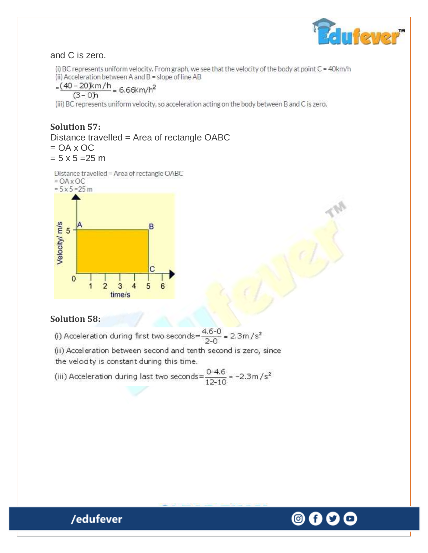

#### and C is zero.

(i) BC represents uniform velocity. From graph, we see that the velocity of the body at point C = 40km/h (ii) Acceleration between A and B = slope of line AB

$$
=\frac{(40-20)km/h}{(3-0)h} = 6.66km/h^2
$$

(iii) BC represents uniform velocity, so acceleration acting on the body between B and C is zero.

#### **Solution 57:** Distance travelled = Area of rectangle OABC  $= OA \times OC$

 $= 5 \times 5 = 25$  m

Distance travelled = Area of rectangle OABC



#### **Solution 58:**

(i) Acceleration during first two seconds= $\frac{4.6-0}{2-0}$  = 2.3m/s<sup>2</sup>

(ii) Acceleration between second and tenth second is zero, since the velocity is constant during this time.

(iii) Acceleration during last two seconds= $\frac{0-4.6}{12-10}$  = -2.3m/s<sup>2</sup>

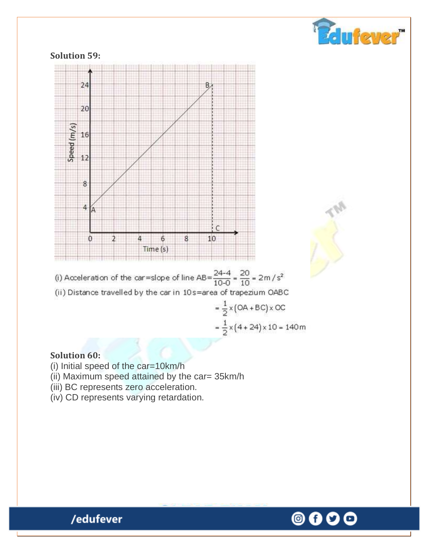

(i) Acceleration of the car=slope of line  $AB = \frac{24-4}{10-0} = \frac{20}{10} = 2m/s^2$ (ii) Distance travelled by the car in 10s=area of trapezium OABC  $=\frac{1}{2} \times (OA + BC) \times OC$  $=\frac{1}{2} \times (4 + 24) \times 10 = 140$  m

#### **Solution 60:**

(i) Initial speed of the car=10km/h

(ii) Maximum speed attained by the car= 35km/h

- (iii) BC represents zero acceleration.
- (iv) CD represents varying retardation.



folyfeyer"

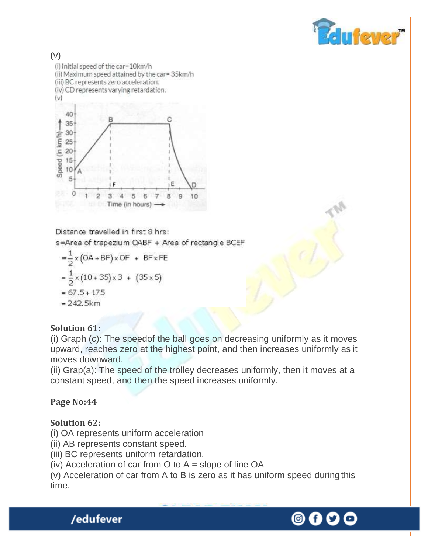



Distance travelled in first 8 hrs: s=Area of trapezium OABF + Area of rectangle BCEF

$$
=\frac{1}{2} \times (OA + BF) \times OF + BF \times FE
$$
  
=  $\frac{1}{2} \times (10 + 35) \times 3 + (35 \times 5)$   
= 67.5 + 175

 $= 242.5km$ 

#### **Solution 61:**

(i) Graph (c): The speedof the ball goes on decreasing uniformly as it moves upward, reaches zero at the highest point, and then increases uniformly as it moves downward.

(ii) Grap(a): The speed of the trolley decreases uniformly, then it moves at a constant speed, and then the speed increases uniformly.

## **Page No:44**

#### **Solution 62:**

- (i) OA represents uniform acceleration
- (ii) AB represents constant speed.
- (iii) BC represents uniform retardation.
- (iv) Acceleration of car from  $O$  to  $A =$  slope of line  $OA$

(v) Acceleration of car from A to B is zero as it has uniform speed during this time.

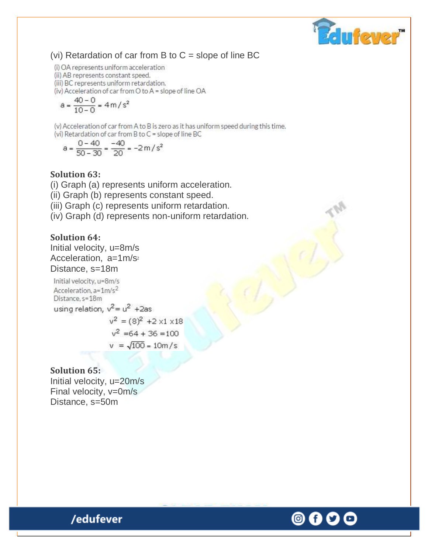

#### (vi) Retardation of car from B to  $C =$  slope of line BC

(i) OA represents uniform acceleration

(ii) AB represents constant speed.

(iii) BC represents uniform retardation.

(iv) Acceleration of car from O to A = slope of line OA

$$
a = \frac{40 - 0}{10 - 0} = 4 \, \text{m/s}^2
$$

(v) Acceleration of car from A to B is zero as it has uniform speed during this time. (vi) Retardation of car from B to C = slope of line BC

$$
a = \frac{0 - 40}{50 - 30} = \frac{-40}{20} = -2 m/s^2
$$

#### **Solution 63:**

(i) Graph (a) represents uniform acceleration.

(ii) Graph (b) represents constant speed.

(iii) Graph (c) represents uniform retardation.

(iv) Graph (d) represents non-uniform retardation.

#### **Solution 64:**

Initial velocity, u=8m/s Acceleration, a=1m/s<sup>2</sup> Distance, s=18m

Initial velocity, u=8m/s Acceleration, a=1m/s<sup>2</sup> Distance, s=18m using relation,  $v^2 = u^2 + 2as$  $v^2 = (8)^2 + 2 \times 1 \times 18$ 

> $v^2$  =64 + 36 =100  $v = \sqrt{100} = 10m/s$

#### **Solution 65:**

Initial velocity, u=20m/s Final velocity, v=0m/s Distance, s=50m